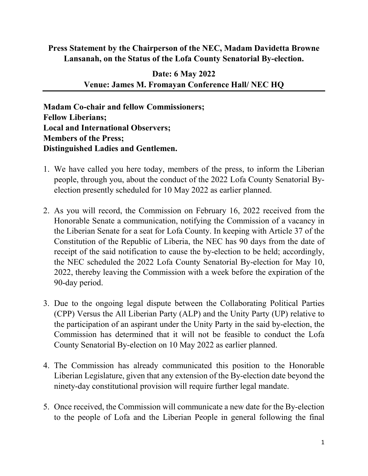## **Press Statement by the Chairperson of the NEC, Madam Davidetta Browne Lansanah, on the Status of the Lofa County Senatorial By-election.**

## **Date: 6 May 2022 Venue: James M. Fromayan Conference Hall/ NEC HQ**

**Madam Co-chair and fellow Commissioners; Fellow Liberians; Local and International Observers; Members of the Press; Distinguished Ladies and Gentlemen.**

- 1. We have called you here today, members of the press, to inform the Liberian people, through you, about the conduct of the 2022 Lofa County Senatorial Byelection presently scheduled for 10 May 2022 as earlier planned.
- 2. As you will record, the Commission on February 16, 2022 received from the Honorable Senate a communication, notifying the Commission of a vacancy in the Liberian Senate for a seat for Lofa County. In keeping with Article 37 of the Constitution of the Republic of Liberia, the NEC has 90 days from the date of receipt of the said notification to cause the by-election to be held; accordingly, the NEC scheduled the 2022 Lofa County Senatorial By-election for May 10, 2022, thereby leaving the Commission with a week before the expiration of the 90-day period.
- 3. Due to the ongoing legal dispute between the Collaborating Political Parties (CPP) Versus the All Liberian Party (ALP) and the Unity Party (UP) relative to the participation of an aspirant under the Unity Party in the said by-election, the Commission has determined that it will not be feasible to conduct the Lofa County Senatorial By-election on 10 May 2022 as earlier planned.
- 4. The Commission has already communicated this position to the Honorable Liberian Legislature, given that any extension of the By-election date beyond the ninety-day constitutional provision will require further legal mandate.
- 5. Once received, the Commission will communicate a new date for the By-election to the people of Lofa and the Liberian People in general following the final